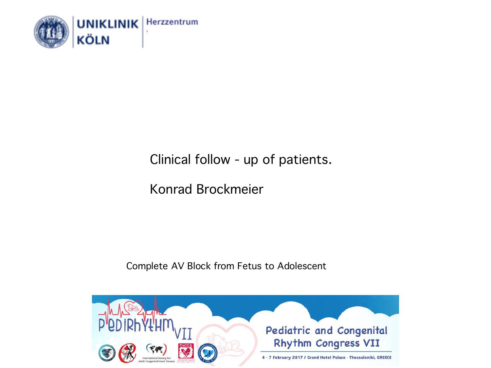

## Clinical follow - up of patients.

Konrad Brockmeier

Complete AV Block from Fetus to Adolescent

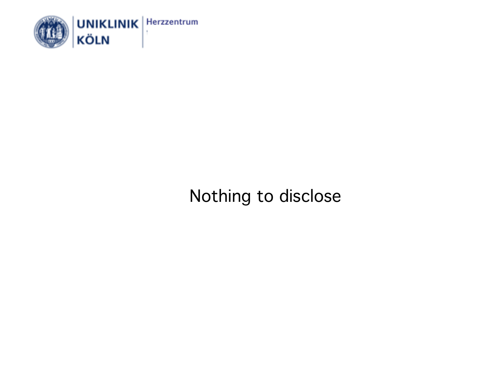

Nothing to disclose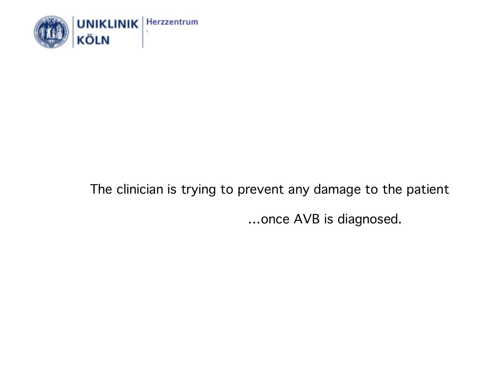

# The clinician is trying to prevent any damage to the patient …once AVB is diagnosed.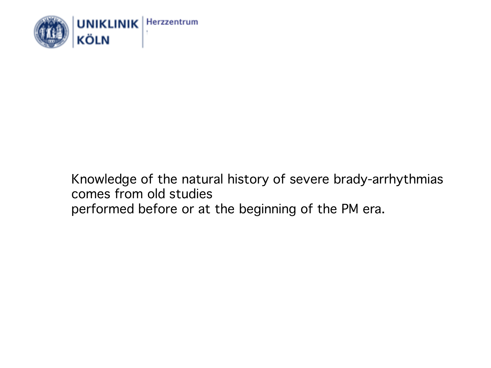

#### Knowledge of the natural history of severe brady-arrhythmias comes from old studies performed before or at the beginning of the PM era.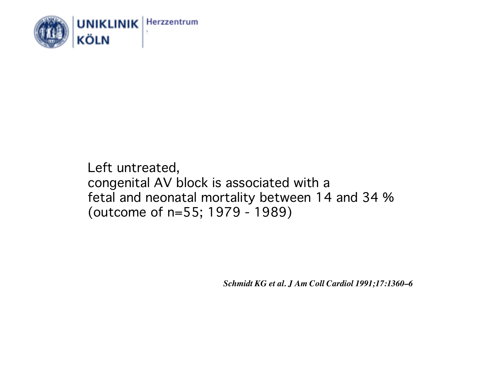

Left untreated, congenital AV block is associated with a fetal and neonatal mortality between 14 and 34 % (outcome of n=55; 1979 - 1989)

*Schmidt KG et al. J Am Coll Cardiol 1991;17:1360–6*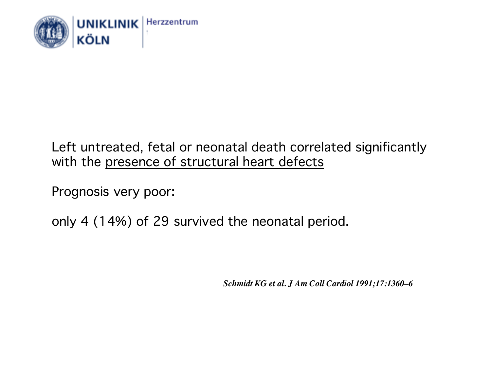

#### Left untreated, fetal or neonatal death correlated significantly with the presence of structural heart defects

Prognosis very poor:

only 4 (14%) of 29 survived the neonatal period.

*Schmidt KG et al. J Am Coll Cardiol 1991;17:1360–6*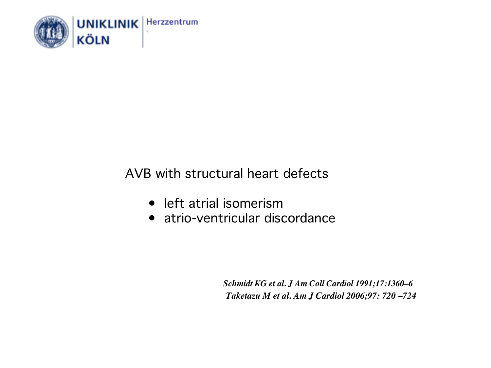

### AVB with structural heart defects

- left atrial isomerism
- atrio-ventricular discordance

*Schmidt KG et al. J Am Coll Cardiol 1991;17:1360–6 Taketazu M et al. Am J Cardiol 2006;97: 720 –724*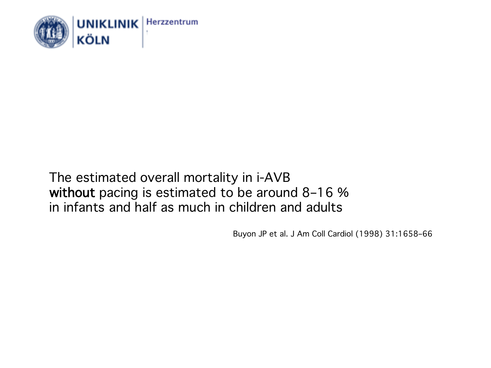

#### The estimated overall mortality in i-AVB without pacing is estimated to be around 8–16 % in infants and half as much in children and adults

Buyon JP et al. J Am Coll Cardiol (1998) 31:1658–66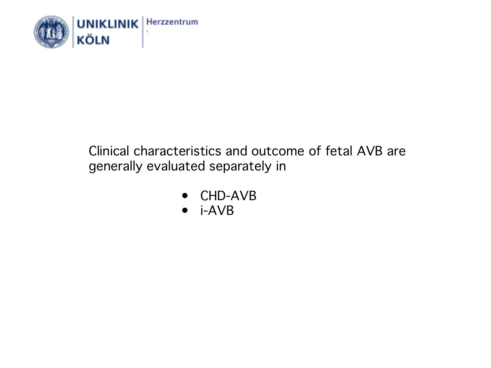

#### Clinical characteristics and outcome of fetal AVB are generally evaluated separately in

- CHD-AVB
- i-AVB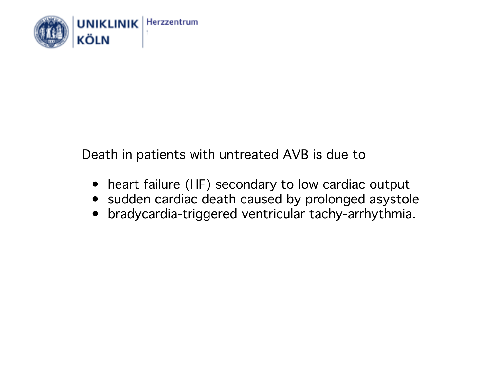

Death in patients with untreated AVB is due to

- heart failure (HF) secondary to low cardiac output
- sudden cardiac death caused by prolonged asystole
- bradycardia-triggered ventricular tachy-arrhythmia.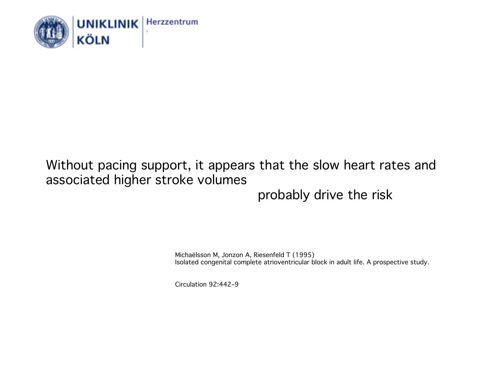

#### Without pacing support, it appears that the slow heart rates and associated higher stroke volumes probably drive the risk

Michaëlsson M, Jonzon A, Riesenfeld T (1995) Isolated congenital complete atrioventricular block in adult life. A prospective study.

Circulation 92:442–9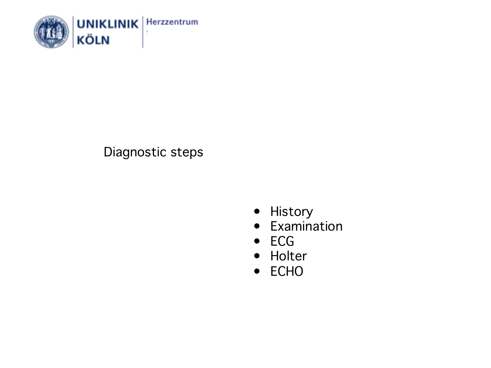

#### Diagnostic steps

- History
- Examination
- ECG
- Holter
- ECHO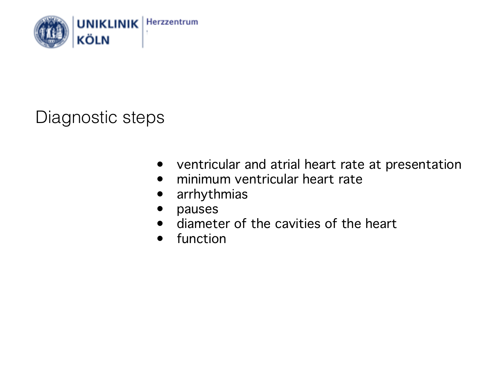

## Diagnostic steps

- ventricular and atrial heart rate at presentation
- minimum ventricular heart rate
- arrhythmias
- pauses
- diameter of the cavities of the heart
- function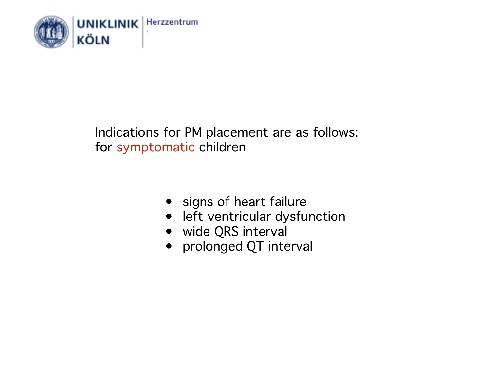

#### Indications for PM placement are as follows: for symptomatic children

- signs of heart failure
- left ventricular dysfunction
- wide QRS interval
- prolonged QT interval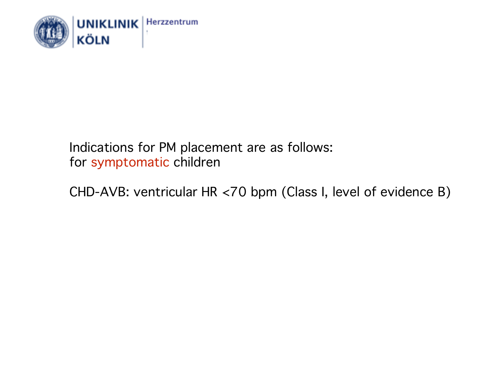

#### Indications for PM placement are as follows: for symptomatic children

CHD-AVB: ventricular HR <70 bpm (Class I, level of evidence B)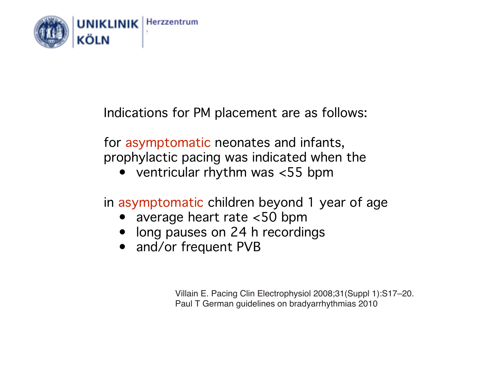

Indications for PM placement are as follows:

for asymptomatic neonates and infants, prophylactic pacing was indicated when the

• ventricular rhythm was <55 bpm

in asymptomatic children beyond 1 year of age

- average heart rate <50 bpm
- long pauses on 24 h recordings
- and/or frequent PVB

Villain E. Pacing Clin Electrophysiol 2008;31(Suppl 1):S17–20. Paul T German guidelines on bradyarrhythmias 2010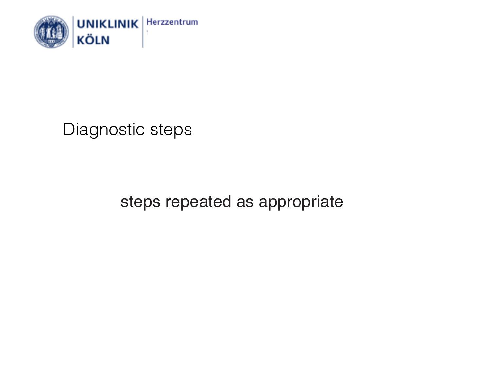

Diagnostic steps

steps repeated as appropriate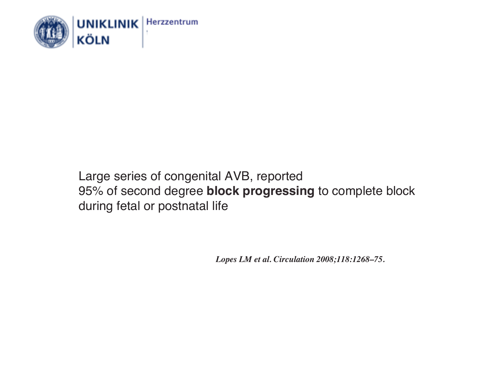

#### Large series of congenital AVB, reported 95% of second degree **block progressing** to complete block during fetal or postnatal life

*Lopes LM et al. Circulation 2008;118:1268–75.*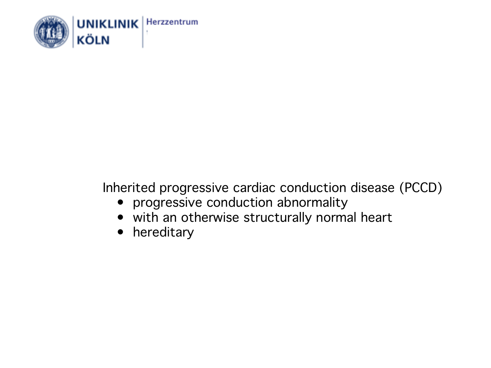

## Inherited progressive cardiac conduction disease (PCCD)

- progressive conduction abnormality
- with an otherwise structurally normal heart
- hereditary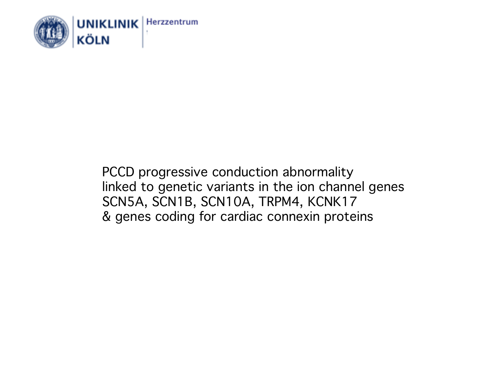

PCCD progressive conduction abnormality linked to genetic variants in the ion channel genes SCN5A, SCN1B, SCN10A, TRPM4, KCNK17 & genes coding for cardiac connexin proteins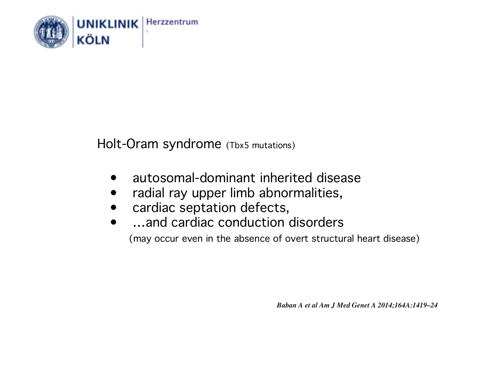

Holt-Oram syndrome (Tbx5 mutations)

- autosomal-dominant inherited disease
- radial ray upper limb abnormalities,
- cardiac septation defects,
- ... and cardiac conduction disorders

(may occur even in the absence of overt structural heart disease)

*Baban A et al Am J Med Genet A 2014;164A:1419–24*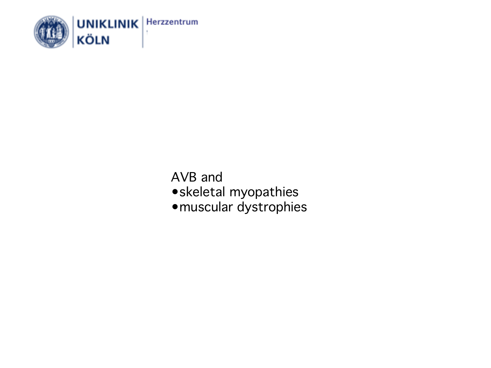

AVB and •skeletal myopathies •muscular dystrophies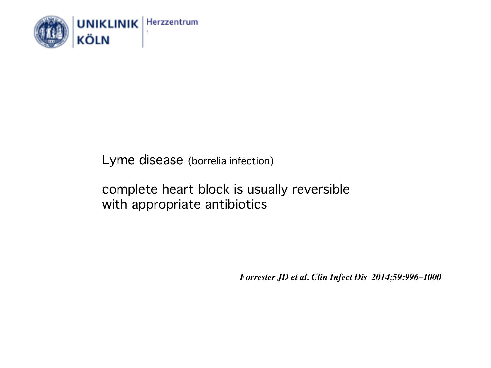

Lyme disease (borrelia infection)

complete heart block is usually reversible with appropriate antibiotics

*Forrester JD et al. Clin Infect Dis 2014;59:996–1000*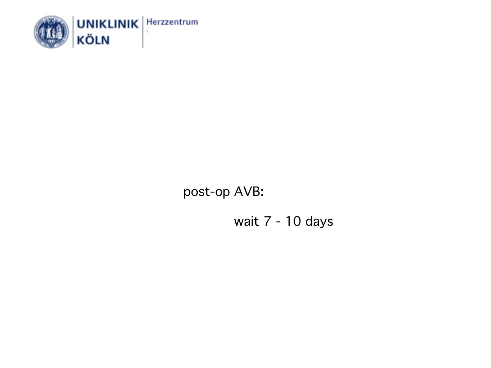

post-op AVB:

wait 7 - 10 days